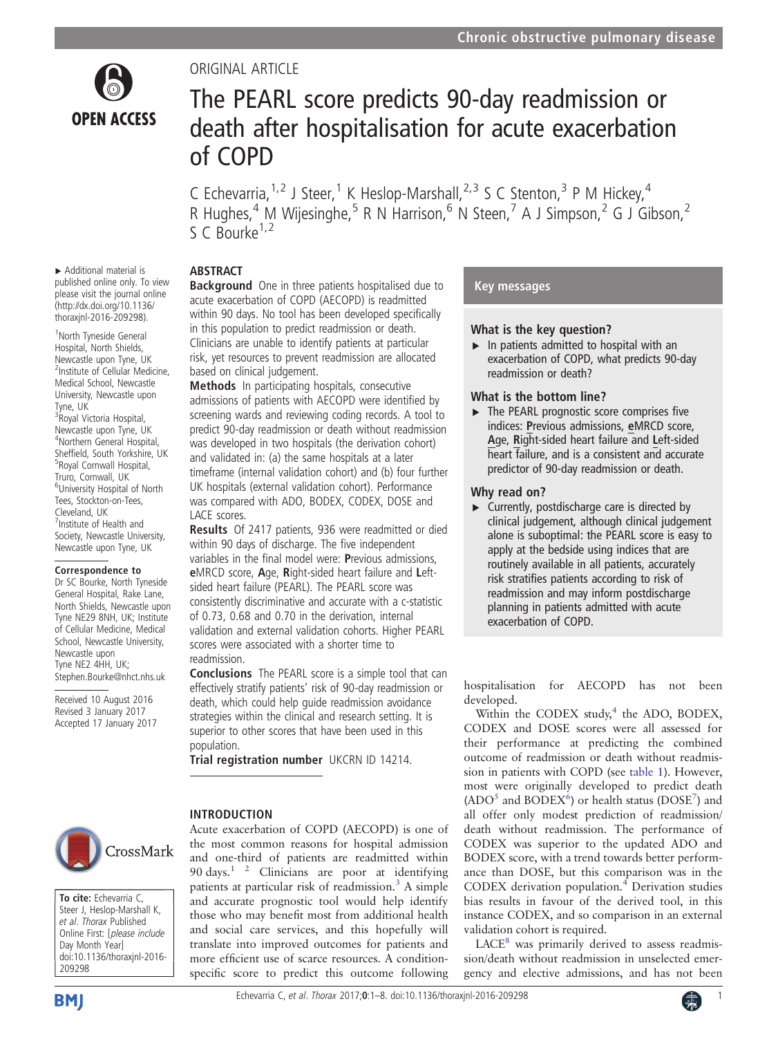

# ORIGINAL ARTICLE

# The PEARL score predicts 90-day readmission or death after hospitalisation for acute exacerbation of COPD

C Echevarria,<sup>1,2</sup> J Steer,<sup>1</sup> K Heslop-Marshall,<sup>2,3</sup> S C Stenton,<sup>3</sup> P M Hickey,<sup>4</sup> R Hughes,<sup>4</sup> M Wijesinghe,<sup>5</sup> R N Harrison,<sup>6</sup> N Steen,<sup>7</sup> A J Simpson,<sup>2</sup> G J Gibson,<sup>2</sup>  $S \subset \text{Rourke}^{1,2}$ 

# ABSTRACT

▸ Additional material is published online only. To view please visit the journal online [\(http://dx.doi.org/10.1136/](http://dx.doi.org/10.1136/thoraxjnl-2016-209298) [thoraxjnl-2016-209298\)](http://dx.doi.org/10.1136/thoraxjnl-2016-209298).

1 North Tyneside General Hospital, North Shields, Newcastle upon Tyne, UK 2 Institute of Cellular Medicine, Medical School, Newcastle University, Newcastle upon Tyne, UK <sup>3</sup> Royal Victoria Hospital, Newcastle upon Tyne, UK 4 Northern General Hospital, Sheffield, South Yorkshire, UK Royal Cornwall Hospital, Truro, Cornwall, UK 6 University Hospital of North Tees, Stockton-on-Tees, Cleveland, UK 7 Institute of Health and Society, Newcastle University, Newcastle upon Tyne, UK

#### Correspondence to

Dr SC Bourke, North Tyneside General Hospital, Rake Lane, North Shields, Newcastle upon Tyne NE29 8NH, UK; Institute of Cellular Medicine, Medical School, Newcastle University, Newcastle upon Tyne NE2 4HH, UK; Stephen.Bourke@nhct.nhs.uk

Received 10 August 2016 Revised 3 January 2017 Accepted 17 January 2017 **Background** One in three patients hospitalised due to acute exacerbation of COPD (AECOPD) is readmitted within 90 days. No tool has been developed specifically in this population to predict readmission or death. Clinicians are unable to identify patients at particular risk, yet resources to prevent readmission are allocated based on clinical judgement.

Methods In participating hospitals, consecutive admissions of patients with AECOPD were identified by screening wards and reviewing coding records. A tool to predict 90-day readmission or death without readmission was developed in two hospitals (the derivation cohort) and validated in: (a) the same hospitals at a later timeframe (internal validation cohort) and (b) four further UK hospitals (external validation cohort). Performance was compared with ADO, BODEX, CODEX, DOSE and LACE scores.

Results Of 2417 patients, 936 were readmitted or died within 90 days of discharge. The five independent variables in the final model were: Previous admissions, eMRCD score, Age, Right-sided heart failure and Leftsided heart failure (PEARL). The PEARL score was consistently discriminative and accurate with a c-statistic of 0.73, 0.68 and 0.70 in the derivation, internal validation and external validation cohorts. Higher PEARL scores were associated with a shorter time to readmission.

Conclusions The PEARL score is a simple tool that can effectively stratify patients' risk of 90-day readmission or death, which could help guide readmission avoidance strategies within the clinical and research setting. It is superior to other scores that have been used in this population.

Trial registration number UKCRN ID 14214.

# CrossMark

To cite: Echevarria C, Steer J, Heslop-Marshall K, et al. Thorax Published Online First: [please include Day Month Year] doi:10.1136/thoraxjnl-2016- 209298

# INTRODUCTION

Acute exacerbation of COPD (AECOPD) is one of the most common reasons for hospital admission and one-third of patients are readmitted within 90 days.<sup>1 2</sup> Clinicians are poor at identifying patients at particular risk of readmission.<sup>[3](#page-7-0)</sup> A simple and accurate prognostic tool would help identify those who may benefit most from additional health and social care services, and this hopefully will translate into improved outcomes for patients and more efficient use of scarce resources. A conditionspecific score to predict this outcome following

# Key messages

# What is the key question?

 $\blacktriangleright$  In patients admitted to hospital with an exacerbation of COPD, what predicts 90-day readmission or death?

# What is the bottom line?

▸ The PEARL prognostic score comprises five indices: Previous admissions, eMRCD score, Age, Right-sided heart failure and Left-sided heart failure, and is a consistent and accurate predictor of 90-day readmission or death.

# Why read on?

 $\blacktriangleright$  Currently, postdischarge care is directed by clinical judgement, although clinical judgement alone is suboptimal: the PEARL score is easy to apply at the bedside using indices that are routinely available in all patients, accurately risk stratifies patients according to risk of readmission and may inform postdischarge planning in patients admitted with acute exacerbation of COPD.

hospitalisation for AECOPD has not been developed.

Within the CODEX study,<sup>[4](#page-7-0)</sup> the ADO, BODEX, CODEX and DOSE scores were all assessed for their performance at predicting the combined outcome of readmission or death without readmission in patients with COPD (see [table 1](#page-1-0)). However, most were originally developed to predict death (ADO<sup>[5](#page-7-0)</sup> and BODEX<sup>6</sup>) or health status (DOSE<sup>7</sup>) and all offer only modest prediction of readmission/ death without readmission. The performance of CODEX was superior to the updated ADO and BODEX score, with a trend towards better performance than DOSE, but this comparison was in the CODEX derivation population.<sup>[4](#page-7-0)</sup> Derivation studies bias results in favour of the derived tool, in this instance CODEX, and so comparison in an external validation cohort is required.

 $LACE<sup>8</sup>$  $LACE<sup>8</sup>$  $LACE<sup>8</sup>$  was primarily derived to assess readmission/death without readmission in unselected emergency and elective admissions, and has not been

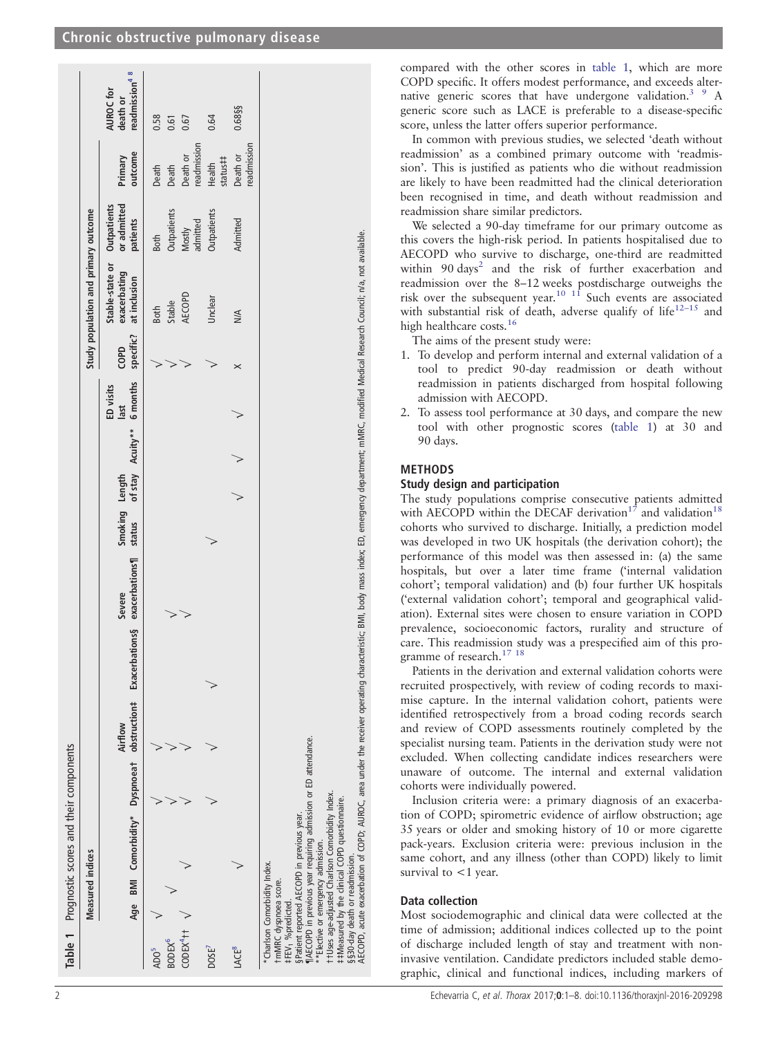# <span id="page-1-0"></span>Chronic obstructive pulmonary disease

|                                                   |                                                                                         | Table 1 Prognostic scores and their components                                                                                                                                                                                                       |         |                                                                                                                                                                                                           |                          |         |                   |                   |                   |                                                 |                                        |                                  |                                                    |
|---------------------------------------------------|-----------------------------------------------------------------------------------------|------------------------------------------------------------------------------------------------------------------------------------------------------------------------------------------------------------------------------------------------------|---------|-----------------------------------------------------------------------------------------------------------------------------------------------------------------------------------------------------------|--------------------------|---------|-------------------|-------------------|-------------------|-------------------------------------------------|----------------------------------------|----------------------------------|----------------------------------------------------|
|                                                   |                                                                                         | <b>Measured</b> indices                                                                                                                                                                                                                              |         |                                                                                                                                                                                                           |                          |         |                   |                   |                   | Study population and primary outcome            |                                        |                                  |                                                    |
|                                                   |                                                                                         | Age BMI Comorbidity* Dyspnoeat obstruction# Exacerbations§                                                                                                                                                                                           | Airflow | exacerbations¶<br>Severe                                                                                                                                                                                  | Smoking Length<br>status | of stay | Acuity** 6 months | ED visits<br>last | specific?<br>COPD | Stable-state or<br>exacerbating<br>at inclusion | or admitted<br>Outpatients<br>patients | outcome<br>Primary               | readmission <sup>48</sup><br>AUROC for<br>death or |
| ADO <sup>3</sup>                                  |                                                                                         |                                                                                                                                                                                                                                                      |         |                                                                                                                                                                                                           |                          |         |                   |                   |                   | <b>Both</b>                                     | <b>Both</b>                            | Death                            | 0.58                                               |
| CODEX <sup>4</sup> ++<br><b>BODEX<sup>6</sup></b> |                                                                                         |                                                                                                                                                                                                                                                      |         | ₹                                                                                                                                                                                                         |                          |         |                   |                   |                   | AECOPD<br>Stable                                | Outpatients<br>Mostly                  | Death or<br>Death                | 0.67<br>0.61                                       |
| DOSE <sup>/</sup>                                 |                                                                                         |                                                                                                                                                                                                                                                      |         |                                                                                                                                                                                                           |                          |         |                   |                   | ⋗                 | Undear                                          | Outpatients<br>admitted                | readmission<br>status#<br>Health | 0.64                                               |
| LACE <sup>8</sup>                                 |                                                                                         |                                                                                                                                                                                                                                                      |         |                                                                                                                                                                                                           |                          |         |                   |                   | $\times$          | $\leq$                                          | Admitted                               | readmission<br>Death or          | 0.68§§                                             |
| ‡FEV <sub>1</sub> %predicted.                     | §§30-day death or readmission.<br>*Charlson Comorbidity Index.<br>tmMRC dyspnoea score. | AECOPD in previous year requiring admission or ED attendance.<br>+Uses age-adjusted Charlson Comorbidity Index.<br>##Measured by the clinical COPD questionnaire.<br>§Patient reported AECOPD in previous year.<br>*Elective or emergency admission. |         | AECOPD, acute exacerbation of COPD; AUROC, area under the receiver operating characteristic; BMI, body mass index; ED, emergency department; mMRC, modified Medical Research Council; n/a, not available. |                          |         |                   |                   |                   |                                                 |                                        |                                  |                                                    |

compared with the other scores in table 1, which are more COPD specific. It offers modest performance, and exceeds alternative generic scores that have undergone validation.<sup>3</sup> <sup>9</sup> A generic score such as LACE is preferable to a disease-specific score, unless the latter offers superior performance.

In common with previous studies, we selected 'death without readmission' as a combined primary outcome with 'readmission'. This is justified as patients who die without readmission are likely to have been readmitted had the clinical deterioration been recognised in time, and death without readmission and readmission share similar predictors.

We selected a 90-day timeframe for our primary outcome as this covers the high-risk period. In patients hospitalised due to AECOPD who survive to discharge, one-third are readmitted within 90 days<sup>[2](#page-7-0)</sup> and the risk of further exacerbation and readmission over the 8–12 weeks postdischarge outweighs the risk over the subsequent year.<sup>[10 11](#page-7-0)</sup> Such events are associated with substantial risk of death, adverse qualify of life $12-15$  $12-15$  and high healthcare costs.<sup>[16](#page-7-0)</sup>

The aims of the present study were:

- 1. To develop and perform internal and external validation of a tool to predict 90-day readmission or death without readmission in patients discharged from hospital following admission with AECOPD.
- 2. To assess tool performance at 30 days, and compare the new tool with other prognostic scores (table 1) at 30 and 90 days.

# METHODS

# Study design and participation

The study populations comprise consecutive patients admitted with AECOPD within the DECAF derivation<sup>[17](#page-7-0)</sup> and validation<sup>[18](#page-7-0)</sup> cohorts who survived to discharge. Initially, a prediction model was developed in two UK hospitals (the derivation cohort); the performance of this model was then assessed in: (a) the same hospitals, but over a later time frame ('internal validation cohort'; temporal validation) and (b) four further UK hospitals ('external validation cohort'; temporal and geographical validation). External sites were chosen to ensure variation in COPD prevalence, socioeconomic factors, rurality and structure of care. This readmission study was a prespecified aim of this pro-gramme of research.<sup>[17 18](#page-7-0)</sup>

Patients in the derivation and external validation cohorts were recruited prospectively, with review of coding records to maximise capture. In the internal validation cohort, patients were identified retrospectively from a broad coding records search and review of COPD assessments routinely completed by the specialist nursing team. Patients in the derivation study were not excluded. When collecting candidate indices researchers were unaware of outcome. The internal and external validation cohorts were individually powered.

Inclusion criteria were: a primary diagnosis of an exacerbation of COPD; spirometric evidence of airflow obstruction; age 35 years or older and smoking history of 10 or more cigarette pack-years. Exclusion criteria were: previous inclusion in the same cohort, and any illness (other than COPD) likely to limit survival to  $<$ 1 year.

## Data collection

Most sociodemographic and clinical data were collected at the time of admission; additional indices collected up to the point of discharge included length of stay and treatment with noninvasive ventilation. Candidate predictors included stable demographic, clinical and functional indices, including markers of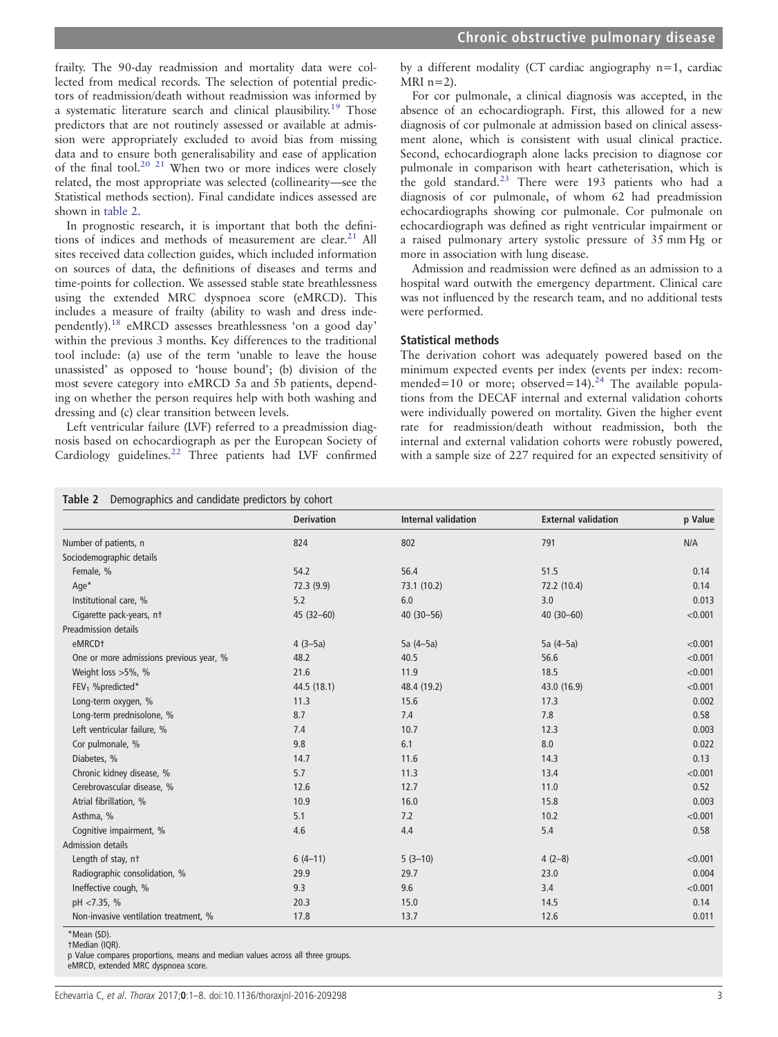<span id="page-2-0"></span>frailty. The 90-day readmission and mortality data were collected from medical records. The selection of potential predictors of readmission/death without readmission was informed by a systematic literature search and clinical plausibility.<sup>[19](#page-7-0)</sup> Those predictors that are not routinely assessed or available at admission were appropriately excluded to avoid bias from missing data and to ensure both generalisability and ease of application of the final tool.<sup>[20 21](#page-7-0)</sup> When two or more indices were closely related, the most appropriate was selected (collinearity—see the Statistical methods section). Final candidate indices assessed are shown in table 2.

In prognostic research, it is important that both the definitions of indices and methods of measurement are clear. $21$  All sites received data collection guides, which included information on sources of data, the definitions of diseases and terms and time-points for collection. We assessed stable state breathlessness using the extended MRC dyspnoea score (eMRCD). This includes a measure of frailty (ability to wash and dress independently)[.18](#page-7-0) eMRCD assesses breathlessness 'on a good day' within the previous 3 months. Key differences to the traditional tool include: (a) use of the term 'unable to leave the house unassisted' as opposed to 'house bound'; (b) division of the most severe category into eMRCD 5a and 5b patients, depending on whether the person requires help with both washing and dressing and (c) clear transition between levels.

Left ventricular failure (LVF) referred to a preadmission diagnosis based on echocardiograph as per the European Society of Cardiology guidelines.<sup>[22](#page-7-0)</sup> Three patients had LVF confirmed

by a different modality (CT cardiac angiography n=1, cardiac MRI  $n=2$ ).

For cor pulmonale, a clinical diagnosis was accepted, in the absence of an echocardiograph. First, this allowed for a new diagnosis of cor pulmonale at admission based on clinical assessment alone, which is consistent with usual clinical practice. Second, echocardiograph alone lacks precision to diagnose cor pulmonale in comparison with heart catheterisation, which is the gold standard.<sup>[23](#page-7-0)</sup> There were 193 patients who had a diagnosis of cor pulmonale, of whom 62 had preadmission echocardiographs showing cor pulmonale. Cor pulmonale on echocardiograph was defined as right ventricular impairment or a raised pulmonary artery systolic pressure of 35 mm Hg or more in association with lung disease.

Admission and readmission were defined as an admission to a hospital ward outwith the emergency department. Clinical care was not influenced by the research team, and no additional tests were performed.

#### Statistical methods

The derivation cohort was adequately powered based on the minimum expected events per index (events per index: recommended=10 or more; observed=14).<sup>24</sup> The available populations from the DECAF internal and external validation cohorts were individually powered on mortality. Given the higher event rate for readmission/death without readmission, both the internal and external validation cohorts were robustly powered, with a sample size of 227 required for an expected sensitivity of

|                                         | <b>Derivation</b> | <b>Internal validation</b> | <b>External validation</b> | p Value |
|-----------------------------------------|-------------------|----------------------------|----------------------------|---------|
| Number of patients, n                   | 824               | 802                        | 791                        | N/A     |
| Sociodemographic details                |                   |                            |                            |         |
| Female, %                               | 54.2              | 56.4                       | 51.5                       | 0.14    |
| Age*                                    | 72.3(9.9)         | 73.1 (10.2)                | 72.2 (10.4)                | 0.14    |
| Institutional care, %                   | 5.2               | 6.0                        | 3.0                        | 0.013   |
| Cigarette pack-years, nt                | $45(32 - 60)$     | $40(30 - 56)$              | $40(30-60)$                | < 0.001 |
| Preadmission details                    |                   |                            |                            |         |
| eMRCD <sup>+</sup>                      | $4(3-5a)$         | $5a(4-5a)$                 | 5a (4-5a)                  | < 0.001 |
| One or more admissions previous year, % | 48.2              | 40.5                       | 56.6                       | < 0.001 |
| Weight loss $>5\%$ , %                  | 21.6              | 11.9                       | 18.5                       | < 0.001 |
| FEV <sub>1</sub> %predicted*            | 44.5 (18.1)       | 48.4 (19.2)                | 43.0 (16.9)                | < 0.001 |
| Long-term oxygen, %                     | 11.3              | 15.6                       | 17.3                       | 0.002   |
| Long-term prednisolone, %               | 8.7               | 7.4                        | 7.8                        | 0.58    |
| Left ventricular failure, %             | 7.4               | 10.7                       | 12.3                       | 0.003   |
| Cor pulmonale, %                        | 9.8               | 6.1                        | 8.0                        | 0.022   |
| Diabetes, %                             | 14.7              | 11.6                       | 14.3                       | 0.13    |
| Chronic kidney disease, %               | 5.7               | 11.3                       | 13.4                       | < 0.001 |
| Cerebrovascular disease, %              | 12.6              | 12.7                       | 11.0                       | 0.52    |
| Atrial fibrillation, %                  | 10.9              | 16.0                       | 15.8                       | 0.003   |
| Asthma, %                               | 5.1               | 7.2                        | 10.2                       | < 0.001 |
| Cognitive impairment, %                 | 4.6               | 4.4                        | 5.4                        | 0.58    |
| Admission details                       |                   |                            |                            |         |
| Length of stay, nt                      | $6(4-11)$         | $5(3-10)$                  | $4(2-8)$                   | < 0.001 |
| Radiographic consolidation, %           | 29.9              | 29.7                       | 23.0                       | 0.004   |
| Ineffective cough, %                    | 9.3               | 9.6                        | 3.4                        | < 0.001 |
| pH <7.35, %                             | 20.3              | 15.0                       | 14.5                       | 0.14    |
| Non-invasive ventilation treatment, %   | 17.8              | 13.7                       | 12.6                       | 0.011   |

\*Mean (SD).

†Median (IQR).

p Value compares proportions, means and median values across all three groups.

eMRCD, extended MRC dyspnoea score.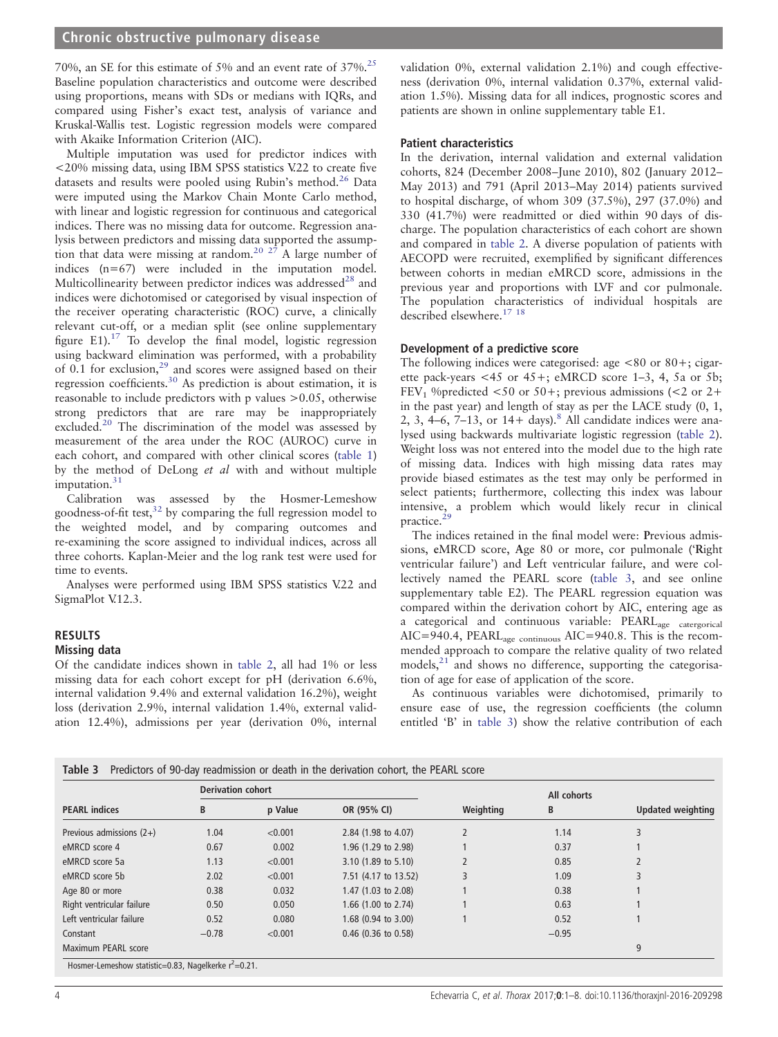<span id="page-3-0"></span>70%, an SE for this estimate of 5% and an event rate of 37%[.25](#page-7-0) Baseline population characteristics and outcome were described using proportions, means with SDs or medians with IQRs, and compared using Fisher's exact test, analysis of variance and Kruskal-Wallis test. Logistic regression models were compared with Akaike Information Criterion (AIC).

Multiple imputation was used for predictor indices with <20% missing data, using IBM SPSS statistics V.22 to create five datasets and results were pooled using Rubin's method.<sup>[26](#page-7-0)</sup> Data were imputed using the Markov Chain Monte Carlo method, with linear and logistic regression for continuous and categorical indices. There was no missing data for outcome. Regression analysis between predictors and missing data supported the assumption that data were missing at random.<sup>20 27</sup> A large number of indices  $(n=67)$  were included in the imputation model. Multicollinearity between predictor indices was addressed $^{28}$  $^{28}$  $^{28}$  and indices were dichotomised or categorised by visual inspection of the receiver operating characteristic (ROC) curve, a clinically relevant cut-off, or a median split (see online supplementary figure E1). $17$  To develop the final model, logistic regression using backward elimination was performed, with a probability of 0.1 for exclusion, $29$  and scores were assigned based on their regression coefficients.[30](#page-7-0) As prediction is about estimation, it is reasonable to include predictors with p values >0.05, otherwise strong predictors that are rare may be inappropriately excluded.<sup>[20](#page-7-0)</sup> The discrimination of the model was assessed by measurement of the area under the ROC (AUROC) curve in each cohort, and compared with other clinical scores ([table 1\)](#page-1-0) by the method of DeLong et al with and without multiple imputation. $31$ 

Calibration was assessed by the Hosmer-Lemeshow goodness-of-fit test, $32$  by comparing the full regression model to the weighted model, and by comparing outcomes and re-examining the score assigned to individual indices, across all three cohorts. Kaplan-Meier and the log rank test were used for time to events.

Analyses were performed using IBM SPSS statistics V.22 and SigmaPlot V.12.3.

#### RESULTS Missing data

Of the candidate indices shown in [table 2](#page-2-0), all had 1% or less

missing data for each cohort except for pH (derivation 6.6%, internal validation 9.4% and external validation 16.2%), weight loss (derivation 2.9%, internal validation 1.4%, external validation 12.4%), admissions per year (derivation 0%, internal

validation 0%, external validation 2.1%) and cough effectiveness (derivation 0%, internal validation 0.37%, external validation 1.5%). Missing data for all indices, prognostic scores and patients are shown in online supplementary table E1.

#### Patient characteristics

In the derivation, internal validation and external validation cohorts, 824 (December 2008–June 2010), 802 (January 2012– May 2013) and 791 (April 2013–May 2014) patients survived to hospital discharge, of whom 309 (37.5%), 297 (37.0%) and 330 (41.7%) were readmitted or died within 90 days of discharge. The population characteristics of each cohort are shown and compared in [table 2](#page-2-0). A diverse population of patients with AECOPD were recruited, exemplified by significant differences between cohorts in median eMRCD score, admissions in the previous year and proportions with LVF and cor pulmonale. The population characteristics of individual hospitals are described elsewhere.<sup>[17 18](#page-7-0)</sup>

## Development of a predictive score

The following indices were categorised: age  $\lt 80$  or  $80 +$ ; cigarette pack-years  $\lt 45$  or  $45+$ ; eMRCD score 1–3, 4, 5a or 5b; FEV<sub>1</sub> % predicted  $\leq 50$  or  $50+$ ; previous admissions ( $\leq 2$  or  $2+$ in the past year) and length of stay as per the LACE study (0, 1, 2, 3,  $4-6$ ,  $7-13$ , or  $14+$  days).<sup>[8](#page-7-0)</sup> All candidate indices were analysed using backwards multivariate logistic regression ([table 2\)](#page-2-0). Weight loss was not entered into the model due to the high rate of missing data. Indices with high missing data rates may provide biased estimates as the test may only be performed in select patients; furthermore, collecting this index was labour intensive, a problem which would likely recur in clinical practice.<sup>[29](#page-7-0)</sup>

The indices retained in the final model were: Previous admissions, eMRCD score, Age 80 or more, cor pulmonale ('Right ventricular failure') and Left ventricular failure, and were collectively named the PEARL score (table 3, and see online supplementary table E2). The PEARL regression equation was compared within the derivation cohort by AIC, entering age as a categorical and continuous variable: PEARLage catergorical AIC=940.4, PEARL<sub>age continuous</sub> AIC=940.8. This is the recommended approach to compare the relative quality of two related models,[21](#page-7-0) and shows no difference, supporting the categorisation of age for ease of application of the score.

As continuous variables were dichotomised, primarily to ensure ease of use, the regression coefficients (the column entitled 'B' in table 3) show the relative contribution of each

Table 3 Predictors of 90-day readmission or death in the derivation cohort, the PEARL score

|                            | <b>Derivation cohort</b> |         |                       | All cohorts |         |                          |
|----------------------------|--------------------------|---------|-----------------------|-------------|---------|--------------------------|
| <b>PEARL</b> indices       | B                        | p Value | OR (95% CI)           | Weighting   | B       | <b>Updated weighting</b> |
| Previous admissions $(2+)$ | 1.04                     | < 0.001 | 2.84 (1.98 to 4.07)   |             | 1.14    | 3                        |
| eMRCD score 4              | 0.67                     | 0.002   | 1.96 (1.29 to 2.98)   |             | 0.37    |                          |
| eMRCD score 5a             | 1.13                     | < 0.001 | 3.10 (1.89 to 5.10)   |             | 0.85    |                          |
| eMRCD score 5b             | 2.02                     | < 0.001 | 7.51 (4.17 to 13.52)  |             | 1.09    | 3                        |
| Age 80 or more             | 0.38                     | 0.032   | 1.47 (1.03 to 2.08)   |             | 0.38    |                          |
| Right ventricular failure  | 0.50                     | 0.050   | 1.66 (1.00 to 2.74)   |             | 0.63    |                          |
| Left ventricular failure   | 0.52                     | 0.080   | 1.68 (0.94 to 3.00)   |             | 0.52    |                          |
| Constant                   | $-0.78$                  | < 0.001 | $0.46$ (0.36 to 0.58) |             | $-0.95$ |                          |
| Maximum PEARL score        |                          |         |                       |             |         | 9                        |

=0.05, Nagelkerke r  $=0.21$ .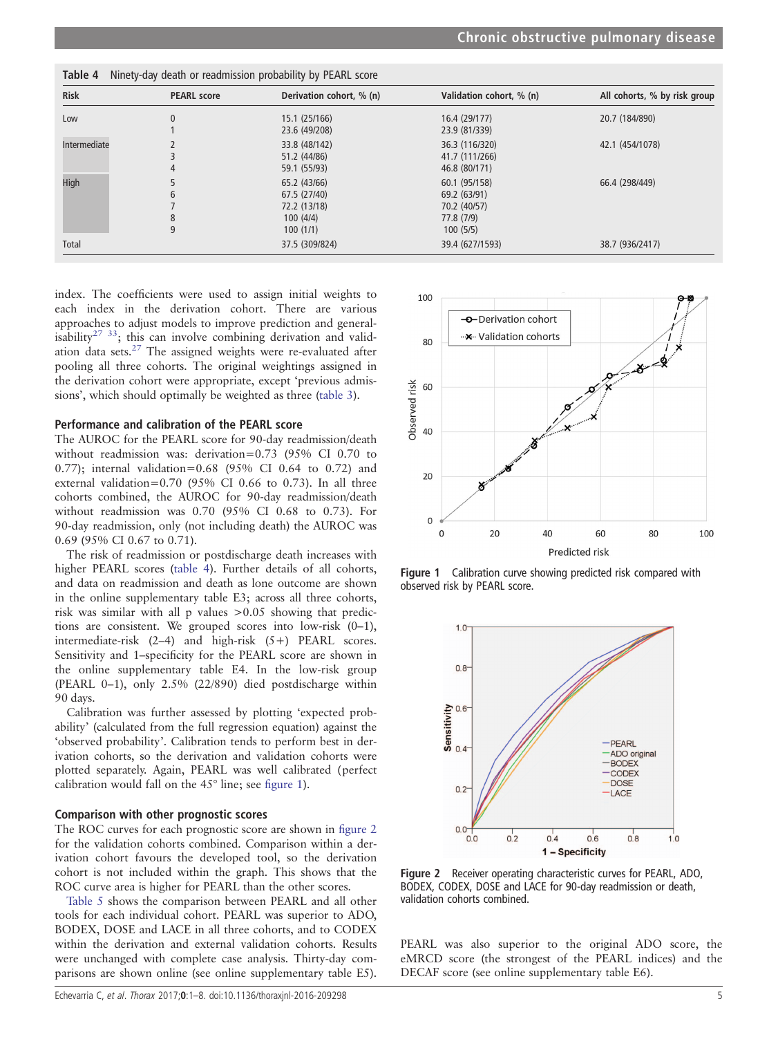| <b>Risk</b>  | <b>PEARL score</b> | Derivation cohort, % (n)                                             | Validation cohort, % (n)                                                | All cohorts, % by risk group |
|--------------|--------------------|----------------------------------------------------------------------|-------------------------------------------------------------------------|------------------------------|
| Low          | $\mathbf{0}$       | 15.1 (25/166)<br>23.6 (49/208)                                       | 16.4 (29/177)<br>23.9 (81/339)                                          | 20.7 (184/890)               |
| Intermediate | 4                  | 33.8 (48/142)<br>51.2 (44/86)<br>59.1 (55/93)                        | 36.3 (116/320)<br>41.7 (111/266)<br>46.8 (80/171)                       | 42.1 (454/1078)              |
| High         | 6<br>8<br>9        | 65.2 (43/66)<br>67.5 (27/40)<br>72.2 (13/18)<br>100(4/4)<br>100(1/1) | 60.1 (95/158)<br>69.2 (63/91)<br>70.2 (40/57)<br>77.8 (7/9)<br>100(5/5) | 66.4 (298/449)               |
| Total        |                    | 37.5 (309/824)                                                       | 39.4 (627/1593)                                                         | 38.7 (936/2417)              |

Table 4 Ninety-day death or readmission probability by PEARL score

index. The coefficients were used to assign initial weights to each index in the derivation cohort. There are various approaches to adjust models to improve prediction and generalisability<sup>27</sup><sup>33</sup>; this can involve combining derivation and validation data sets.[27](#page-7-0) The assigned weights were re-evaluated after pooling all three cohorts. The original weightings assigned in the derivation cohort were appropriate, except 'previous admissions', which should optimally be weighted as three ([table 3](#page-3-0)).

## Performance and calibration of the PEARL score

The AUROC for the PEARL score for 90-day readmission/death without readmission was: derivation=0.73 (95% CI 0.70 to 0.77); internal validation=0.68 (95% CI 0.64 to 0.72) and external validation=0.70 (95% CI 0.66 to 0.73). In all three cohorts combined, the AUROC for 90-day readmission/death without readmission was 0.70 (95% CI 0.68 to 0.73). For 90-day readmission, only (not including death) the AUROC was 0.69 (95% CI 0.67 to 0.71).

The risk of readmission or postdischarge death increases with higher PEARL scores (table 4). Further details of all cohorts, and data on readmission and death as lone outcome are shown in the online supplementary table E3; across all three cohorts, risk was similar with all p values >0.05 showing that predictions are consistent. We grouped scores into low-risk (0–1), intermediate-risk (2–4) and high-risk (5+) PEARL scores. Sensitivity and 1–specificity for the PEARL score are shown in the online supplementary table E4. In the low-risk group (PEARL 0–1), only 2.5% (22/890) died postdischarge within 90 days.

Calibration was further assessed by plotting 'expected probability' (calculated from the full regression equation) against the 'observed probability'. Calibration tends to perform best in derivation cohorts, so the derivation and validation cohorts were plotted separately. Again, PEARL was well calibrated (perfect calibration would fall on the 45° line; see figure 1).

#### Comparison with other prognostic scores

The ROC curves for each prognostic score are shown in figure 2 for the validation cohorts combined. Comparison within a derivation cohort favours the developed tool, so the derivation cohort is not included within the graph. This shows that the ROC curve area is higher for PEARL than the other scores.

[Table 5](#page-5-0) shows the comparison between PEARL and all other tools for each individual cohort. PEARL was superior to ADO, BODEX, DOSE and LACE in all three cohorts, and to CODEX within the derivation and external validation cohorts. Results were unchanged with complete case analysis. Thirty-day comparisons are shown online (see online supplementary table E5).



Figure 1 Calibration curve showing predicted risk compared with observed risk by PEARL score.



Figure 2 Receiver operating characteristic curves for PEARL, ADO, BODEX, CODEX, DOSE and LACE for 90-day readmission or death, validation cohorts combined.

PEARL was also superior to the original ADO score, the eMRCD score (the strongest of the PEARL indices) and the DECAF score (see online supplementary table E6).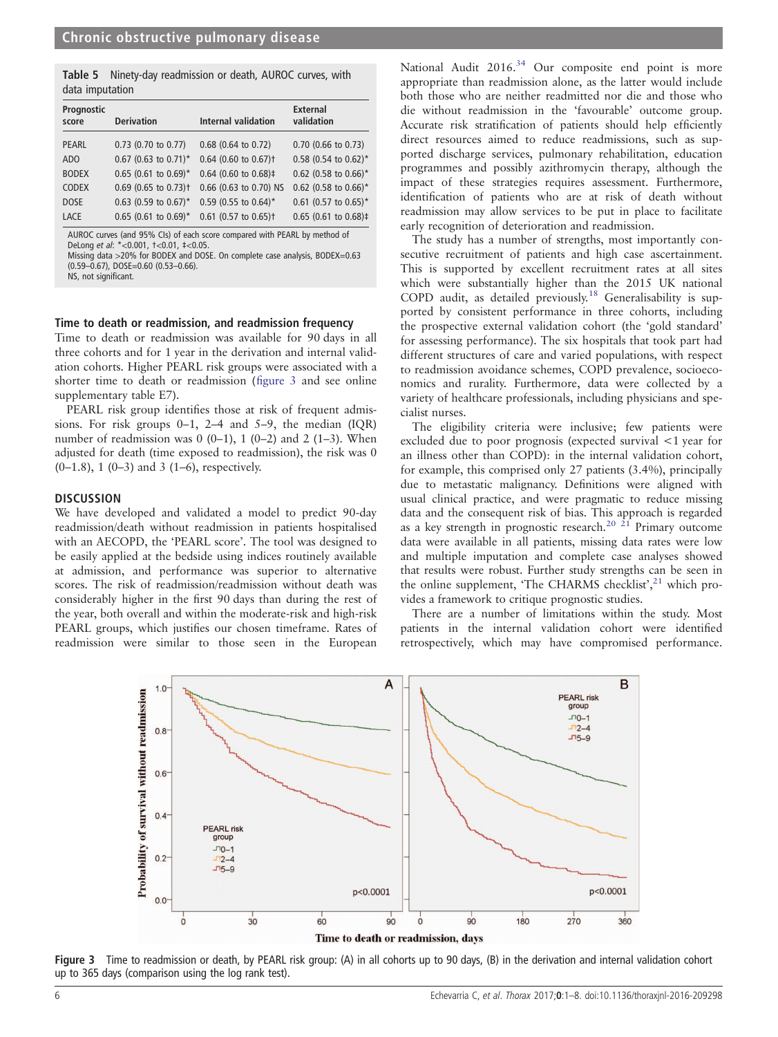<span id="page-5-0"></span>Table 5 Ninety-day readmission or death, AUROC curves, with data imputation

| Prognostic<br>score | <b>Derivation</b>                  | Internal validation                                                       | <b>External</b><br>validation |
|---------------------|------------------------------------|---------------------------------------------------------------------------|-------------------------------|
| <b>PEARL</b>        | $0.73$ (0.70 to 0.77)              | 0.68 (0.64 to 0.72)                                                       | $0.70$ (0.66 to 0.73)         |
| AD <sub>O</sub>     | $0.67$ (0.63 to 0.71)*             | $0.64$ (0.60 to 0.67) <sup>+</sup>                                        | $0.58$ (0.54 to 0.62)*        |
| <b>BODEX</b>        | $0.65$ (0.61 to 0.69)*             | $0.64$ (0.60 to 0.68)‡                                                    | 0.62 (0.58 to 0.66)*          |
| <b>CODEX</b>        | $0.69$ (0.65 to 0.73) <sup>+</sup> | 0.66 (0.63 to 0.70) NS                                                    | 0.62 (0.58 to 0.66)*          |
| <b>DOSE</b>         | $0.63$ (0.59 to 0.67)*             | 0.59 (0.55 to 0.64)*                                                      | $0.61$ (0.57 to 0.65)*        |
| <b>LACE</b>         | $0.65$ (0.61 to 0.69)*             | $0.61$ (0.57 to 0.65) <sup>+</sup>                                        | $0.65$ (0.61 to 0.68)‡        |
|                     |                                    | AUROC curves (and 95% CIs) of each score compared with PEARL by method of |                               |

DeLong et al: \*<0.001, †<0.01, ‡<0.05. Missing data >20% for BODEX and DOSE. On complete case analysis, BODEX=0.63 (0.59–0.67), DOSE=0.60 (0.53–0.66).

NS, not significant.

#### Time to death or readmission, and readmission frequency

Time to death or readmission was available for 90 days in all three cohorts and for 1 year in the derivation and internal validation cohorts. Higher PEARL risk groups were associated with a shorter time to death or readmission (figure 3 and see online supplementary table E7).

PEARL risk group identifies those at risk of frequent admissions. For risk groups 0–1, 2–4 and 5–9, the median (IQR) number of readmission was  $0(0-1)$ ,  $1(0-2)$  and  $2(1-3)$ . When adjusted for death (time exposed to readmission), the risk was 0  $(0-1.8)$ , 1  $(0-3)$  and 3  $(1-6)$ , respectively.

#### **DISCUSSION**

We have developed and validated a model to predict 90-day readmission/death without readmission in patients hospitalised with an AECOPD, the 'PEARL score'. The tool was designed to be easily applied at the bedside using indices routinely available at admission, and performance was superior to alternative scores. The risk of readmission/readmission without death was considerably higher in the first 90 days than during the rest of the year, both overall and within the moderate-risk and high-risk PEARL groups, which justifies our chosen timeframe. Rates of readmission were similar to those seen in the European

National Audit 2016.<sup>34</sup> Our composite end point is more appropriate than readmission alone, as the latter would include both those who are neither readmitted nor die and those who die without readmission in the 'favourable' outcome group. Accurate risk stratification of patients should help efficiently direct resources aimed to reduce readmissions, such as supported discharge services, pulmonary rehabilitation, education programmes and possibly azithromycin therapy, although the impact of these strategies requires assessment. Furthermore, identification of patients who are at risk of death without readmission may allow services to be put in place to facilitate early recognition of deterioration and readmission.

The study has a number of strengths, most importantly consecutive recruitment of patients and high case ascertainment. This is supported by excellent recruitment rates at all sites which were substantially higher than the 2015 UK national COPD audit, as detailed previously.<sup>[18](#page-7-0)</sup> Generalisability is supported by consistent performance in three cohorts, including the prospective external validation cohort (the 'gold standard' for assessing performance). The six hospitals that took part had different structures of care and varied populations, with respect to readmission avoidance schemes, COPD prevalence, socioeconomics and rurality. Furthermore, data were collected by a variety of healthcare professionals, including physicians and specialist nurses.

The eligibility criteria were inclusive; few patients were excluded due to poor prognosis (expected survival <1 year for an illness other than COPD): in the internal validation cohort, for example, this comprised only 27 patients (3.4%), principally due to metastatic malignancy. Definitions were aligned with usual clinical practice, and were pragmatic to reduce missing data and the consequent risk of bias. This approach is regarded as a key strength in prognostic research.<sup>[20 21](#page-7-0)</sup> Primary outcome data were available in all patients, missing data rates were low and multiple imputation and complete case analyses showed that results were robust. Further study strengths can be seen in the online supplement, 'The CHARMS checklist',<sup>[21](#page-7-0)</sup> which provides a framework to critique prognostic studies.

There are a number of limitations within the study. Most patients in the internal validation cohort were identified retrospectively, which may have compromised performance.



Figure 3 Time to readmission or death, by PEARL risk group: (A) in all cohorts up to 90 days, (B) in the derivation and internal validation cohort up to 365 days (comparison using the log rank test).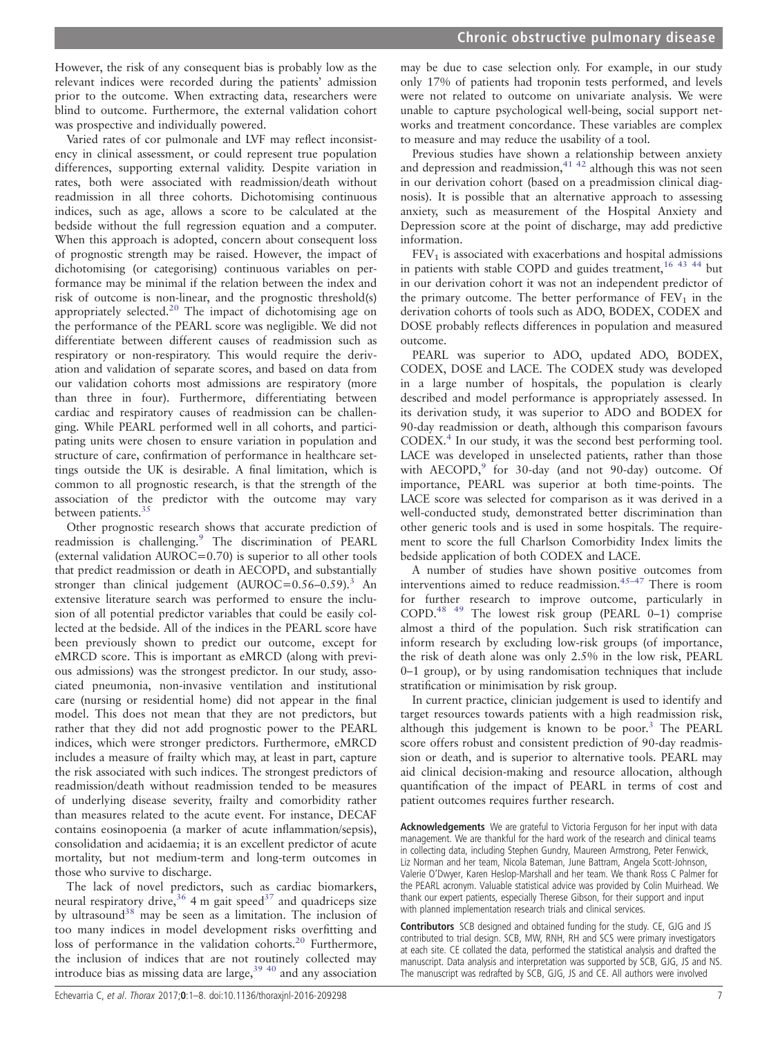However, the risk of any consequent bias is probably low as the relevant indices were recorded during the patients' admission prior to the outcome. When extracting data, researchers were blind to outcome. Furthermore, the external validation cohort was prospective and individually powered.

Varied rates of cor pulmonale and LVF may reflect inconsistency in clinical assessment, or could represent true population differences, supporting external validity. Despite variation in rates, both were associated with readmission/death without readmission in all three cohorts. Dichotomising continuous indices, such as age, allows a score to be calculated at the bedside without the full regression equation and a computer. When this approach is adopted, concern about consequent loss of prognostic strength may be raised. However, the impact of dichotomising (or categorising) continuous variables on performance may be minimal if the relation between the index and risk of outcome is non-linear, and the prognostic threshold(s) appropriately selected.[20](#page-7-0) The impact of dichotomising age on the performance of the PEARL score was negligible. We did not differentiate between different causes of readmission such as respiratory or non-respiratory. This would require the derivation and validation of separate scores, and based on data from our validation cohorts most admissions are respiratory (more than three in four). Furthermore, differentiating between cardiac and respiratory causes of readmission can be challenging. While PEARL performed well in all cohorts, and participating units were chosen to ensure variation in population and structure of care, confirmation of performance in healthcare settings outside the UK is desirable. A final limitation, which is common to all prognostic research, is that the strength of the association of the predictor with the outcome may vary between patients.<sup>35</sup>

Other prognostic research shows that accurate prediction of readmission is challenging.<sup>[9](#page-7-0)</sup> The discrimination of PEARL (external validation AUROC=0.70) is superior to all other tools that predict readmission or death in AECOPD, and substantially stronger than clinical judgement  $(AUROC=0.56-0.59)$ .<sup>[3](#page-7-0)</sup> An extensive literature search was performed to ensure the inclusion of all potential predictor variables that could be easily collected at the bedside. All of the indices in the PEARL score have been previously shown to predict our outcome, except for eMRCD score. This is important as eMRCD (along with previous admissions) was the strongest predictor. In our study, associated pneumonia, non-invasive ventilation and institutional care (nursing or residential home) did not appear in the final model. This does not mean that they are not predictors, but rather that they did not add prognostic power to the PEARL indices, which were stronger predictors. Furthermore, eMRCD includes a measure of frailty which may, at least in part, capture the risk associated with such indices. The strongest predictors of readmission/death without readmission tended to be measures of underlying disease severity, frailty and comorbidity rather than measures related to the acute event. For instance, DECAF contains eosinopoenia (a marker of acute inflammation/sepsis), consolidation and acidaemia; it is an excellent predictor of acute mortality, but not medium-term and long-term outcomes in those who survive to discharge.

The lack of novel predictors, such as cardiac biomarkers, neural respiratory drive,<sup>[36](#page-7-0)</sup> 4 m gait speed<sup>37</sup> and quadriceps size by ultrasound<sup>[38](#page-7-0)</sup> may be seen as a limitation. The inclusion of too many indices in model development risks overfitting and loss of performance in the validation cohorts.<sup>20</sup> Furthermore, the inclusion of indices that are not routinely collected may introduce bias as missing data are large,<sup>[39 40](#page-7-0)</sup> and any association

may be due to case selection only. For example, in our study only 17% of patients had troponin tests performed, and levels were not related to outcome on univariate analysis. We were unable to capture psychological well-being, social support networks and treatment concordance. These variables are complex to measure and may reduce the usability of a tool.

Previous studies have shown a relationship between anxiety and depression and readmission,<sup>[41 42](#page-7-0)</sup> although this was not seen in our derivation cohort (based on a preadmission clinical diagnosis). It is possible that an alternative approach to assessing anxiety, such as measurement of the Hospital Anxiety and Depression score at the point of discharge, may add predictive information.

 $FEV<sub>1</sub>$  is associated with exacerbations and hospital admissions in patients with stable COPD and guides treatment,<sup>[16 43 44](#page-7-0)</sup> but in our derivation cohort it was not an independent predictor of the primary outcome. The better performance of  $FEV<sub>1</sub>$  in the derivation cohorts of tools such as ADO, BODEX, CODEX and DOSE probably reflects differences in population and measured outcome.

PEARL was superior to ADO, updated ADO, BODEX, CODEX, DOSE and LACE. The CODEX study was developed in a large number of hospitals, the population is clearly described and model performance is appropriately assessed. In its derivation study, it was superior to ADO and BODEX for 90-day readmission or death, although this comparison favours CODEX.[4](#page-7-0) In our study, it was the second best performing tool. LACE was developed in unselected patients, rather than those with  $AECOPD$ , for 30-day (and not [9](#page-7-0)0-day) outcome. Of importance, PEARL was superior at both time-points. The LACE score was selected for comparison as it was derived in a well-conducted study, demonstrated better discrimination than other generic tools and is used in some hospitals. The requirement to score the full Charlson Comorbidity Index limits the bedside application of both CODEX and LACE.

A number of studies have shown positive outcomes from interventions aimed to reduce readmission[.45](#page-7-0)–<sup>47</sup> There is room for further research to improve outcome, particularly in COPD.[48 49](#page-7-0) The lowest risk group (PEARL 0–1) comprise almost a third of the population. Such risk stratification can inform research by excluding low-risk groups (of importance, the risk of death alone was only 2.5% in the low risk, PEARL 0–1 group), or by using randomisation techniques that include stratification or minimisation by risk group.

In current practice, clinician judgement is used to identify and target resources towards patients with a high readmission risk, although this judgement is known to be poor. $3$  The PEARL score offers robust and consistent prediction of 90-day readmission or death, and is superior to alternative tools. PEARL may aid clinical decision-making and resource allocation, although quantification of the impact of PEARL in terms of cost and patient outcomes requires further research.

Acknowledgements We are grateful to Victoria Ferguson for her input with data management. We are thankful for the hard work of the research and clinical teams in collecting data, including Stephen Gundry, Maureen Armstrong, Peter Fenwick, Liz Norman and her team, Nicola Bateman, June Battram, Angela Scott-Johnson, Valerie O'Dwyer, Karen Heslop-Marshall and her team. We thank Ross C Palmer for the PEARL acronym. Valuable statistical advice was provided by Colin Muirhead. We thank our expert patients, especially Therese Gibson, for their support and input with planned implementation research trials and clinical services.

Contributors SCB designed and obtained funding for the study. CE, GJG and JS contributed to trial design. SCB, MW, RNH, RH and SCS were primary investigators at each site. CE collated the data, performed the statistical analysis and drafted the manuscript. Data analysis and interpretation was supported by SCB, GJG, JS and NS. The manuscript was redrafted by SCB, GJG, JS and CE. All authors were involved